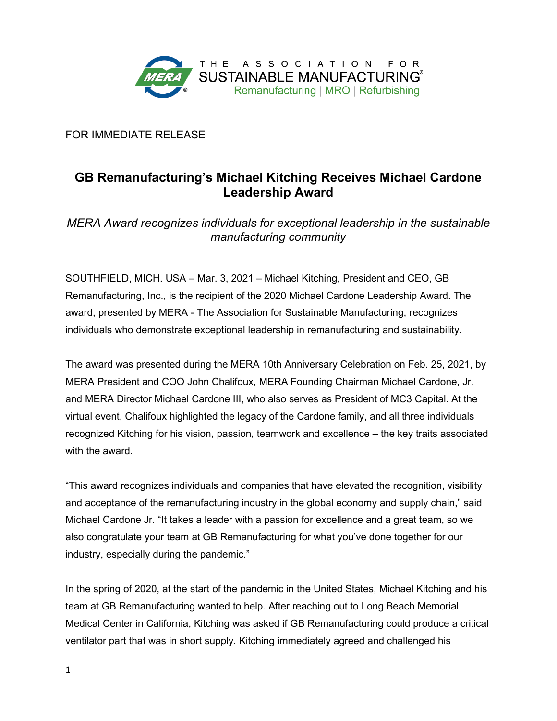

FOR IMMEDIATE RELEASE

## **GB Remanufacturing's Michael Kitching Receives Michael Cardone Leadership Award**

*MERA Award recognizes individuals for exceptional leadership in the sustainable manufacturing community*

SOUTHFIELD, MICH. USA – Mar. 3, 2021 – Michael Kitching, President and CEO, GB Remanufacturing, Inc., is the recipient of the 2020 Michael Cardone Leadership Award. The award, presented by MERA - The Association for Sustainable Manufacturing, recognizes individuals who demonstrate exceptional leadership in remanufacturing and sustainability.

The award was presented during the MERA 10th Anniversary Celebration on Feb. 25, 2021, by MERA President and COO John Chalifoux, MERA Founding Chairman Michael Cardone, Jr. and MERA Director Michael Cardone III, who also serves as President of MC3 Capital. At the virtual event, Chalifoux highlighted the legacy of the Cardone family, and all three individuals recognized Kitching for his vision, passion, teamwork and excellence – the key traits associated with the award.

"This award recognizes individuals and companies that have elevated the recognition, visibility and acceptance of the remanufacturing industry in the global economy and supply chain," said Michael Cardone Jr. "It takes a leader with a passion for excellence and a great team, so we also congratulate your team at GB Remanufacturing for what you've done together for our industry, especially during the pandemic."

In the spring of 2020, at the start of the pandemic in the United States, Michael Kitching and his team at GB Remanufacturing wanted to help. After reaching out to Long Beach Memorial Medical Center in California, Kitching was asked if GB Remanufacturing could produce a critical ventilator part that was in short supply. Kitching immediately agreed and challenged his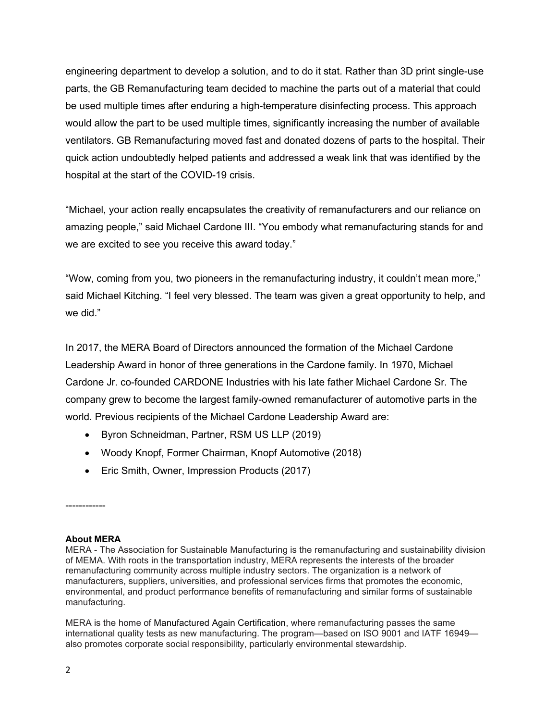engineering department to develop a solution, and to do it stat. Rather than 3D print single-use parts, the GB Remanufacturing team decided to machine the parts out of a material that could be used multiple times after enduring a high-temperature disinfecting process. This approach would allow the part to be used multiple times, significantly increasing the number of available ventilators. GB Remanufacturing moved fast and donated dozens of parts to the hospital. Their quick action undoubtedly helped patients and addressed a weak link that was identified by the hospital at the start of the COVID-19 crisis.

"Michael, your action really encapsulates the creativity of remanufacturers and our reliance on amazing people," said Michael Cardone III. "You embody what remanufacturing stands for and we are excited to see you receive this award today."

"Wow, coming from you, two pioneers in the remanufacturing industry, it couldn't mean more," said Michael Kitching. "I feel very blessed. The team was given a great opportunity to help, and we did."

In 2017, the MERA Board of Directors announced the formation of the Michael Cardone Leadership Award in honor of three generations in the Cardone family. In 1970, Michael Cardone Jr. co-founded CARDONE Industries with his late father Michael Cardone Sr. The company grew to become the largest family-owned remanufacturer of automotive parts in the world. Previous recipients of the Michael Cardone Leadership Award are:

- Byron Schneidman, Partner, RSM US LLP (2019)
- Woody Knopf, Former Chairman, Knopf Automotive (2018)
- Eric Smith, Owner, Impression Products (2017)

## **About MERA**

------------

MERA - The Association for Sustainable Manufacturing is the remanufacturing and sustainability division of MEMA. With roots in the transportation industry, MERA represents the interests of the broader remanufacturing community across multiple industry sectors. The organization is a network of manufacturers, suppliers, universities, and professional services firms that promotes the economic, environmental, and product performance benefits of remanufacturing and similar forms of sustainable manufacturing.

MERA is the home of Manufactured Again Certification, where remanufacturing passes the same international quality tests as new manufacturing. The program—based on ISO 9001 and IATF 16949 also promotes corporate social responsibility, particularly environmental stewardship.